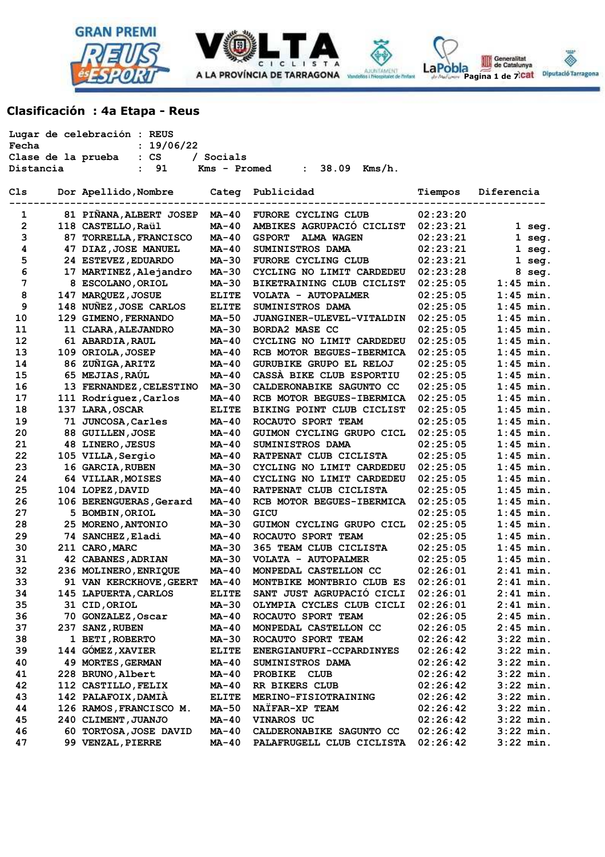





# **Clasificación : 4a Etapa - Reus**

|                    | Lugar de celebración : REUS |              |                                    |          |             |
|--------------------|-----------------------------|--------------|------------------------------------|----------|-------------|
| Fecha              | : 19/06/22                  |              |                                    |          |             |
| Clase de la prueba | : <b>CS</b>                 | / Socials    |                                    |          |             |
| Distancia          | 91<br>$\mathbf{r}$          | Kms - Promed | $38.09$ Kms/h.<br>$\mathbf{L}$     |          |             |
| C1s                | Dor Apellido, Nombre        | Categ        | Publicidad                         | Tiempos  | Diferencia  |
|                    |                             |              |                                    |          |             |
| 1                  | 81 PIÑANA, ALBERT JOSEP     | $MA-40$      | FURORE CYCLING CLUB                | 02:23:20 |             |
| 2                  | 118 CASTELLO, Raül          | MA-40        | AMBIKES AGRUPACIÓ CICLIST          | 02:23:21 | $1$ seg.    |
| 3                  | 87 TORRELLA, FRANCISCO      | <b>MA-40</b> | <b>GSPORT</b><br><b>ALMA WAGEN</b> | 02:23:21 | $1$ seg.    |
| 4                  | 47 DIAZ, JOSE MANUEL        | MA-40        | SUMINISTROS DAMA                   | 02:23:21 | $1$ seg.    |
| 5                  | 24 ESTEVEZ, EDUARDO         | $MA-30$      | FURORE CYCLING CLUB                | 02:23:21 | $1$ seg.    |
| 6                  | 17 MARTINEZ, Alejandro      | MA-30        | CYCLING NO LIMIT CARDEDEU          | 02:23:28 | 8 seg.      |
| 7                  | 8 ESCOLANO, ORIOL           | MA-30        | BIKETRAINING CLUB CICLIST          | 02:25:05 | $1:45$ min. |
| 8                  | 147 MARQUEZ, JOSUE          | <b>ELITE</b> | VOLATA - AUTOPALMER                | 02:25:05 | $1:45$ min. |
| 9                  | 148 NUÑEZ, JOSE CARLOS      | <b>ELITE</b> | SUMINISTROS DAMA                   | 02:25:05 | $1:45$ min. |
| 10                 | 129 GIMENO, FERNANDO        | <b>MA-50</b> | JUANGINER-ULEVEL-VITALDIN          | 02:25:05 | $1:45$ min. |
| 11                 | 11 CLARA, ALEJANDRO         | MA-30        | BORDA2 MASE CC                     | 02:25:05 | $1:45$ min. |
| 12                 | 61 ABARDIA, RAUL            | <b>MA-40</b> | CYCLING NO LIMIT CARDEDEU          | 02:25:05 | $1:45$ min. |
| 13                 | 109 ORIOLA, JOSEP           | <b>MA-40</b> | RCB MOTOR BEGUES-IBERMICA          | 02:25:05 | $1:45$ min. |
| 14                 | 86 ZUÑIGA, ARITZ            | MA-40        | GURUBIKE GRUPO EL RELOJ            | 02:25:05 | $1:45$ min. |
| 15                 | 65 MEJIAS, RAÚL             | <b>MA-40</b> | CASSA BIKE CLUB ESPORTIU           | 02:25:05 | $1:45$ min. |
| 16                 | 13 FERNANDEZ, CELESTINO     | MA-30        | CALDERONABIKE SAGUNTO CC           | 02:25:05 | $1:45$ min. |
| 17                 | 111 Rodríguez, Carlos       | MA-40        | RCB MOTOR BEGUES-IBERMICA          | 02:25:05 | $1:45$ min. |
| 18                 | 137 LARA, OSCAR             | <b>ELITE</b> | BIKING POINT CLUB CICLIST          | 02:25:05 | $1:45$ min. |
| 19                 | 71 JUNCOSA, Carles          | $MA-40$      | ROCAUTO SPORT TEAM                 | 02:25:05 | $1:45$ min. |
| 20                 | 88 GUILLEN, JOSE            | MA-40        | GUIMON CYCLING GRUPO CICL          | 02:25:05 | $1:45$ min. |
| 21                 | 48 LINERO, JESUS            | MA-40        | SUMINISTROS DAMA                   | 02:25:05 | $1:45$ min. |
| 22                 | 105 VILLA, Sergio           | MA-40        | RATPENAT CLUB CICLISTA             | 02:25:05 | $1:45$ min. |
| 23                 | 16 GARCIA, RUBEN            | MA-30        | CYCLING NO LIMIT CARDEDEU          | 02:25:05 | $1:45$ min. |
| 24                 | 64 VILLAR, MOISES           | MA-40        | CYCLING NO LIMIT CARDEDEU          | 02:25:05 | $1:45$ min. |
| 25                 | 104 LOPEZ, DAVID            | MA-40        | RATPENAT CLUB CICLISTA             | 02:25:05 | $1:45$ min. |
| 26                 | 106 BERENGUERAS, Gerard     | MA-40        | RCB MOTOR BEGUES-IBERMICA          | 02:25:05 | $1:45$ min. |
| 27                 | 5 BOMBIN, ORIOL             | MA-30        | GICU                               | 02:25:05 | $1:45$ min. |
| 28                 | 25 MORENO, ANTONIO          | MA-30        | GUIMON CYCLING GRUPO CICL          | 02:25:05 | $1:45$ min. |
| 29                 | 74 SANCHEZ, Eladi           | MA-40        | ROCAUTO SPORT TEAM                 | 02:25:05 | $1:45$ min. |
| 30                 | 211 CARO, MARC              | MA-30        | 365 TEAM CLUB CICLISTA             | 02:25:05 | $1:45$ min. |
| 31                 | 42 CABANES, ADRIAN          | <b>MA-30</b> | VOLATA - AUTOPALMER                | 02:25:05 | $1:45$ min. |
| 32                 | 236 MOLINERO, ENRIQUE       | $MA-40$      | MONPEDAL CASTELLON CC              | 02:26:01 | $2:41$ min. |
| 33                 | 91 VAN KERCKHOVE, GEERT     | $MA-40$      | MONTBIKE MONTBRIO CLUB ES          | 02:26:01 | $2:41$ min. |
| 34                 | 145 LAPUERTA, CARLOS        | <b>ELITE</b> | SANT JUST AGRUPACIÓ CICLI          | 02:26:01 | $2:41$ min. |
| 35                 | 31 CID, ORIOL               | MA-30        | OLYMPIA CYCLES CLUB CICLI          | 02:26:01 | $2:41$ min. |
| 36                 | 70 GONZALEZ, Oscar          | MA-40        | ROCAUTO SPORT TEAM                 | 02:26:05 | $2:45$ min. |
| 37                 | 237 SANZ, RUBEN             | MA-40        | MONPEDAL CASTELLON CC              | 02:26:05 | $2:45$ min. |
| 38                 | 1 BETI, ROBERTO             | <b>MA-30</b> | ROCAUTO SPORT TEAM                 | 02:26:42 | $3:22$ min. |
| 39                 | 144 GÓMEZ, XAVIER           | <b>ELITE</b> | ENERGIANUFRI-CCPARDINYES           | 02:26:42 | $3:22$ min. |
| 40                 | 49 MORTES, GERMAN           | MA-40        | SUMINISTROS DAMA                   | 02:26:42 | $3:22$ min. |
| 41                 | 228 BRUNO, Albert           | MA-40        | <b>PROBIKE</b><br>CLUB             | 02:26:42 | $3:22$ min. |
| 42                 | 112 CASTILLO, FELIX         | MA-40        | RR BIKERS CLUB                     | 02:26:42 | $3:22$ min. |
| 43                 | 142 PALAFOIX, DAMIA         | <b>ELITE</b> | MERINO-FISIOTRAINING               | 02:26:42 | $3:22$ min. |
| 44                 | 126 RAMOS, FRANCISCO M.     | MA-50        | NAÏFAR-XP TEAM                     | 02:26:42 | $3:22$ min. |
| 45                 | 240 CLIMENT, JUANJO         | MA-40        | VINAROS UC                         | 02:26:42 | $3:22$ min. |
| 46                 | 60 TORTOSA, JOSE DAVID      | MA-40        | CALDERONABIKE SAGUNTO CC           | 02:26:42 | $3:22$ min. |
| 47                 | 99 VENZAL, PIERRE           | MA-40        | PALAFRUGELL CLUB CICLISTA          | 02:26:42 | $3:22$ min. |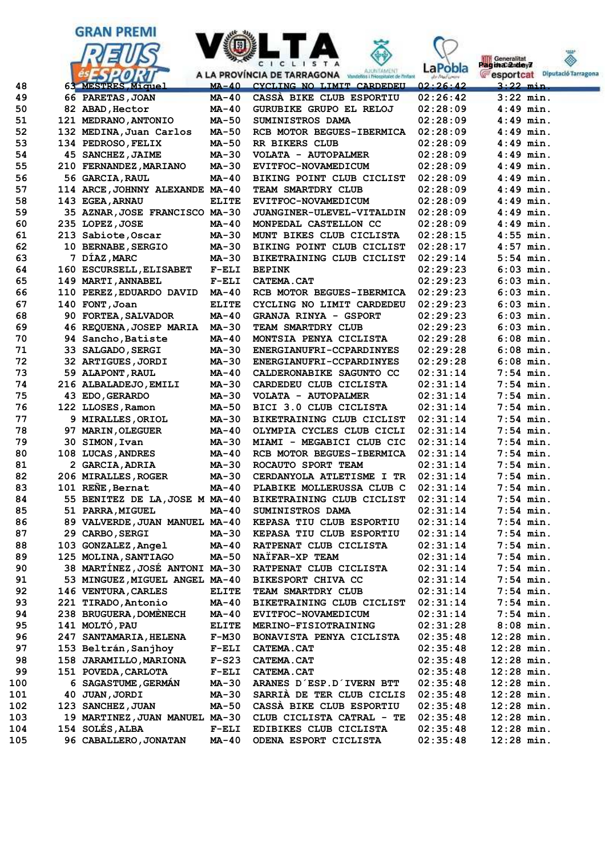







| Generalitat<br>Pagina 2 dey7 |                     |
|------------------------------|---------------------|
| esportcat                    | Diputació Tarragona |
| $3:22$ min.                  |                     |

| 48  | 63 MESTRES Miquel              | <u>MA-40</u> | CYCLING NO LIMIT CARDEDEU    | 02:26:42 | 3:22 min.        |
|-----|--------------------------------|--------------|------------------------------|----------|------------------|
| 49  | 66 PARETAS, JOAN               | $MA-40$      | CASSA BIKE CLUB ESPORTIU     | 02:26:42 | $3:22$ min.      |
| 50  | 82 ABAD, Hector                | <b>MA-40</b> | GURUBIKE GRUPO EL RELOJ      | 02:28:09 | $4:49$ min.      |
| 51  | 121 MEDRANO, ANTONIO           | <b>MA-50</b> | SUMINISTROS DAMA             | 02:28:09 | $4:49$ min.      |
| 52  | 132 MEDINA, Juan Carlos        | <b>MA-50</b> | RCB MOTOR BEGUES-IBERMICA    | 02:28:09 | 4:49 min.        |
| 53  | 134 PEDROSO, FELIX             | MA-50        | RR BIKERS CLUB               | 02:28:09 | $4:49$ min.      |
| 54  | 45 SANCHEZ, JAIME              | MA-30        | VOLATA - AUTOPALMER          | 02:28:09 | 4:49 min.        |
| 55  | 210 FERNANDEZ, MARIANO         | MA-30        | EVITFOC-NOVAMEDICUM          | 02:28:09 | $4:49$ min.      |
| 56  | 56 GARCIA, RAUL                | MA-40        | BIKING POINT CLUB CICLIST    | 02:28:09 | $4:49$ min.      |
| 57  | 114 ARCE, JOHNNY ALEXANDE      | MA-40        | TEAM SMARTDRY CLUB           | 02:28:09 | $4:49$ min.      |
| 58  | 143 EGEA, ARNAU                | <b>ELITE</b> | <b>EVITFOC-NOVAMEDICUM</b>   | 02:28:09 | $4:49$ min.      |
| 59  | 35 AZNAR, JOSE FRANCISCO MA-30 |              | JUANGINER-ULEVEL-VITALDIN    | 02:28:09 | $4:49$ min.      |
| 60  | 235 LOPEZ, JOSE                | $MA-40$      | MONPEDAL CASTELLON CC        | 02:28:09 | $4:49$ min.      |
| 61  | 213 Sabiote, Oscar             | <b>MA-30</b> | MUNT BIKES CLUB CICLISTA     | 02:28:15 | $4:55$ min.      |
| 62  | 10 BERNABE, SERGIO             | MA-30        | BIKING POINT CLUB CICLIST    | 02:28:17 | $4:57$ min.      |
| 63  | 7 DÍAZ, MARC                   | <b>MA-30</b> | BIKETRAINING CLUB CICLIST    | 02:29:14 | 5:54 min.        |
| 64  | 160 ESCURSELL, ELISABET        | $F-ELI$      | <b>BEPINK</b>                | 02:29:23 | $6:03$ min.      |
| 65  | 149 MARTI, ANNABEL             | $F-ELI$      | <b>CATEMA.CAT</b>            | 02:29:23 | $6:03$ min.      |
| 66  | 110 PEREZ, EDUARDO DAVID       | MA-40        | RCB MOTOR BEGUES-IBERMICA    | 02:29:23 | $6:03$ min.      |
| 67  | 140 FONT, Joan                 | <b>ELITE</b> | CYCLING NO LIMIT CARDEDEU    | 02:29:23 | $6:03$ min.      |
| 68  | 90 FORTEA, SALVADOR            | <b>MA-40</b> | <b>GRANJA RINYA - GSPORT</b> | 02:29:23 | $6:03$ min.      |
| 69  | 46 REQUENA, JOSEP MARIA        | <b>MA-30</b> | TEAM SMARTDRY CLUB           | 02:29:23 | $6:03$ min.      |
| 70  | 94 Sancho, Batiste             | MA-40        | MONTSIA PENYA CICLISTA       | 02:29:28 | $6:08$ min.      |
| 71  | 33 SALGADO, SERGI              | <b>MA-30</b> | ENERGIANUFRI-CCPARDINYES     | 02:29:28 | $6:08$ min.      |
| 72  | 32 ARTIGUES, JORDI             | MA-30        | ENERGIANUFRI-CCPARDINYES     | 02:29:28 | $6:08$ min.      |
| 73  | 59 ALAPONT, RAUL               | MA-40        | CALDERONABIKE SAGUNTO CC     | 02:31:14 | 7:54 min.        |
| 74  | 216 ALBALADEJO, EMILI          | <b>MA-30</b> | CARDEDEU CLUB CICLISTA       | 02:31:14 | 7:54 min.        |
| 75  | 43 EDO, GERARDO                | MA-30        | VOLATA - AUTOPALMER          | 02:31:14 | $7:54$ min.      |
| 76  | 122 LLOSES, Ramon              | <b>MA-50</b> | BICI 3.0 CLUB CICLISTA       | 02:31:14 | $7:54$ min.      |
| 77  | 9 MIRALLES, ORIOL              | <b>MA-30</b> | BIKETRAINING CLUB CICLIST    | 02:31:14 | $7:54$ min.      |
| 78  | 97 MARIN, OLEGUER              | MA-40        | OLYMPIA CYCLES CLUB CICLI    | 02:31:14 | $7:54$ min.      |
| 79  | 30 SIMON, Ivan                 | <b>MA-30</b> | MIAMI - MEGABICI CLUB CIC    | 02:31:14 | 7:54 min.        |
| 80  | 108 LUCAS, ANDRES              | $MA-40$      | RCB MOTOR BEGUES-IBERMICA    | 02:31:14 | $7:54$ min.      |
| 81  | 2 GARCIA, ADRIA                | MA-30        | ROCAUTO SPORT TEAM           | 02:31:14 | 7:54 min.        |
| 82  | 206 MIRALLES, ROGER            | MA-30        | CERDANYOLA ATLETISME I TR    | 02:31:14 | 7:54 min.        |
| 83  | 101 RENE, Bernat               | MA-40        | PLABIKE MOLLERUSSA CLUB C    | 02:31:14 | 7:54 min.        |
| 84  | 55 BENITEZ DE LA, JOSE M MA-40 |              | BIKETRAINING CLUB CICLIST    | 02:31:14 | $7:54$ min.      |
| 85  | 51 PARRA, MIGUEL               | MA-40        | SUMINISTROS DAMA             | 02:31:14 | 7:54 min.        |
| 86  | 89 VALVERDE, JUAN MANUEL MA-40 |              | KEPASA TIU CLUB ESPORTIU     | 02:31:14 | $7:54$ min.      |
| 87  | 29 CARBO, SERGI                | MA-30        | KEPASA TIU CLUB ESPORTIU     | 02:31:14 | <b>7:54 min.</b> |
| 88  | 103 GONZALEZ, Angel            | $MA-40$      | RATPENAT CLUB CICLISTA       | 02:31:14 | $7:54$ min.      |
| 89  | 125 MOLINA, SANTIAGO           | <b>MA-50</b> | NAIFAR-XP TEAM               | 02:31:14 | $7:54$ min.      |
| 90  | 38 MARTÍNEZ, JOSÉ ANTONI MA-30 |              | RATPENAT CLUB CICLISTA       | 02:31:14 | $7:54$ min.      |
| 91  | 53 MINGUEZ, MIGUEL ANGEL MA-40 |              | BIKESPORT CHIVA CC           | 02:31:14 | $7:54$ min.      |
| 92  | 146 VENTURA, CARLES            | <b>ELITE</b> | TEAM SMARTDRY CLUB           | 02:31:14 | $7:54$ min.      |
| 93  | 221 TIRADO, Antonio            | <b>MA-40</b> | BIKETRAINING CLUB CICLIST    | 02:31:14 | $7:54$ min.      |
| 94  | 238 BRUGUERA, DOMÈNECH         | <b>MA-40</b> | EVITFOC-NOVAMEDICUM          | 02:31:14 | $7:54$ min.      |
| 95  | 141 MOLTÓ, PAU                 | <b>ELITE</b> | MERINO-FISIOTRAINING         | 02:31:28 | $8:08$ min.      |
| 96  | 247 SANTAMARIA, HELENA         | $F-M30$      | BONAVISTA PENYA CICLISTA     | 02:35:48 | $12:28$ min.     |
| 97  | 153 Beltrán, Sanjhoy           | $F-ELI$      | <b>CATEMA.CAT</b>            | 02:35:48 | $12:28$ min.     |
| 98  | 158 JARAMILLO, MARIONA         | $F-S23$      | CATEMA.CAT                   | 02:35:48 | $12:28$ min.     |
| 99  | 151 POVEDA, CARLOTA            | $F-ELI$      | CATEMA.CAT                   | 02:35:48 | $12:28$ min.     |
| 100 | 6 SAGASTUME, GERMÁN            | <b>MA-30</b> | ARANES D'ESP.D'IVERN BTT     | 02:35:48 | $12:28$ min.     |
| 101 | 40 JUAN, JORDI                 | <b>MA-30</b> | SARRIA DE TER CLUB CICLIS    | 02:35:48 | $12:28$ min.     |
| 102 | 123 SANCHEZ, JUAN              | <b>MA-50</b> | CASSA BIKE CLUB ESPORTIU     | 02:35:48 | $12:28$ min.     |
| 103 | 19 MARTINEZ, JUAN MANUEL MA-30 |              | CLUB CICLISTA CATRAL - TE    | 02:35:48 | $12:28$ min.     |
| 104 | 154 SOLÉS, ALBA                | $F-ELI$      | EDIBIKES CLUB CICLISTA       | 02:35:48 | $12:28$ min.     |
| 105 | 96 CABALLERO, JONATAN          | <b>MA-40</b> | ODENA ESPORT CICLISTA        | 02:35:48 | $12:28$ min.     |
|     |                                |              |                              |          |                  |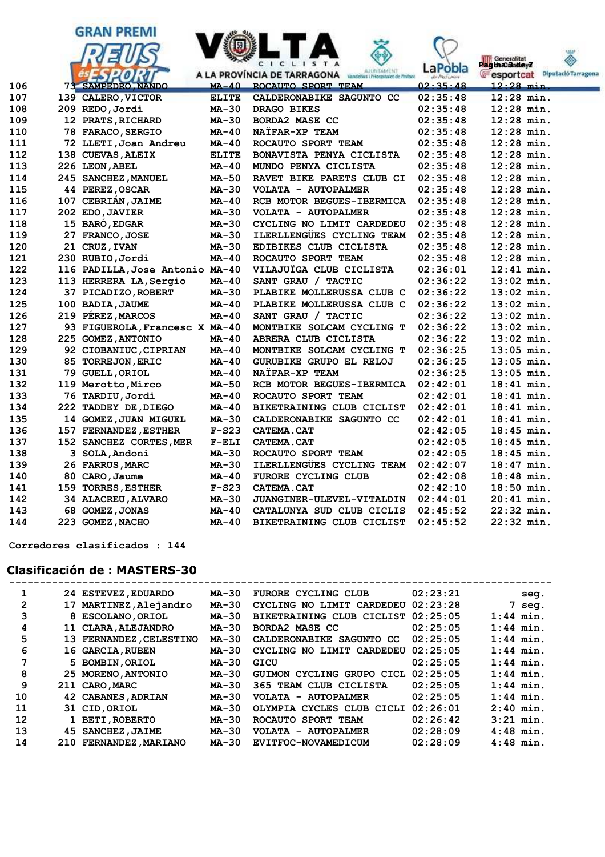



| ⊥∪o | ZUS REDU,UOIUI                  | טכ−בשת       | DRAGO DINES               | 02:33:40 | TTTI TTTT    |
|-----|---------------------------------|--------------|---------------------------|----------|--------------|
| 109 | 12 PRATS, RICHARD               | $MA-30$      | <b>BORDA2 MASE CC</b>     | 02:35:48 | $12:28$ min. |
| 110 | 78 FARACO, SERGIO               | $MA-40$      | NAÏFAR-XP TEAM            | 02:35:48 | $12:28$ min. |
| 111 | 72 LLETI, Joan Andreu           | <b>MA-40</b> | ROCAUTO SPORT TEAM        | 02:35:48 | $12:28$ min. |
| 112 | 138 CUEVAS, ALEIX               | <b>ELITE</b> | BONAVISTA PENYA CICLISTA  | 02:35:48 | $12:28$ min. |
| 113 | 226 LEON, ABEL                  | $MA-40$      | MUNDO PENYA CICLISTA      | 02:35:48 | $12:28$ min. |
| 114 | 245 SANCHEZ, MANUEL             | MA-50        | RAVET BIKE PARETS CLUB CI | 02:35:48 | $12:28$ min. |
| 115 | 44 PEREZ, OSCAR                 | $MA-30$      | VOLATA - AUTOPALMER       | 02:35:48 | $12:28$ min. |
| 116 | 107 CEBRIÁN, JAIME              | $MA-40$      | RCB MOTOR BEGUES-IBERMICA | 02:35:48 | $12:28$ min. |
| 117 | 202 EDO, JAVIER                 | $MA-30$      | VOLATA - AUTOPALMER       | 02:35:48 | $12:28$ min. |
| 118 | 15 BARO, EDGAR                  | $MA-30$      | CYCLING NO LIMIT CARDEDEU | 02:35:48 | $12:28$ min. |
| 119 | 27 FRANCO, JOSE                 | $MA-30$      | ILERLLENGUES CYCLING TEAM | 02:35:48 | $12:28$ min. |
| 120 | 21 CRUZ, IVAN                   | $MA-30$      | EDIBIKES CLUB CICLISTA    | 02:35:48 | $12:28$ min. |
| 121 | 230 RUBIO, Jordi                | $MA-40$      | ROCAUTO SPORT TEAM        | 02:35:48 | $12:28$ min. |
| 122 | 116 PADILLA, Jose Antonio MA-40 |              | VILAJUÏGA CLUB CICLISTA   | 02:36:01 | $12:41$ min. |
| 123 | 113 HERRERA LA, Sergio          | $MA-40$      | SANT GRAU / TACTIC        | 02:36:22 | $13:02$ min. |
| 124 | 37 PICADIZO, ROBERT             | $MA-30$      | PLABIKE MOLLERUSSA CLUB C | 02:36:22 | $13:02$ min. |
| 125 | 100 BADIA, JAUME                | $MA-40$      | PLABIKE MOLLERUSSA CLUB C | 02:36:22 | $13:02$ min. |
| 126 | 219 PEREZ, MARCOS               | <b>MA-40</b> | SANT GRAU / TACTIC        | 02:36:22 | $13:02$ min. |
| 127 | 93 FIGUEROLA, Francesc X MA-40  |              | MONTBIKE SOLCAM CYCLING T | 02:36:22 | $13:02$ min. |
| 128 | 225 GOMEZ, ANTONIO              | MA-40        | ABRERA CLUB CICLISTA      | 02:36:22 | $13:02$ min. |
| 129 | 92 CIOBANIUC, CIPRIAN           | $MA-40$      | MONTBIKE SOLCAM CYCLING T | 02:36:25 | $13:05$ min. |
| 130 | 85 TORREJON, ERIC               | MA-40        | GURUBIKE GRUPO EL RELOJ   | 02:36:25 | $13:05$ min. |
| 131 | 79 GUELL, ORIOL                 | $MA-40$      | NATFAR-XP TEAM            | 02:36:25 | $13:05$ min. |
| 132 | 119 Merotto, Mirco              | <b>MA-50</b> | RCB MOTOR BEGUES-IBERMICA | 02:42:01 | $18:41$ min. |
| 133 | 76 TARDIU, Jordi                | $MA-40$      | ROCAUTO SPORT TEAM        | 02:42:01 | $18:41$ min. |
| 134 | 222 TADDEY DE, DIEGO            | <b>MA-40</b> | BIKETRAINING CLUB CICLIST | 02:42:01 | $18:41$ min. |
| 135 | 14 GOMEZ, JUAN MIGUEL           | <b>MA-30</b> | CALDERONABIKE SAGUNTO CC  | 02:42:01 | $18:41$ min. |
| 136 | 157 FERNANDEZ, ESTHER           | $F-S23$      | CATEMA.CAT                | 02:42:05 | $18:45$ min. |
| 137 | 152 SANCHEZ CORTES, MER         | $F-ELI$      | CATEMA.CAT                | 02:42:05 | $18:45$ min. |
| 138 | 3 SOLA, Andoni                  | MA-30        | ROCAUTO SPORT TEAM        | 02:42:05 | $18:45$ min. |
| 139 | 26 FARRUS, MARC                 | MA-30        | ILERLLENGÜES CYCLING TEAM | 02:42:07 | $18:47$ min. |
| 140 | 80 CARO, Jaume                  | $MA-40$      | FURORE CYCLING CLUB       | 02:42:08 | $18:48$ min. |
| 141 | 159 TORRES, ESTHER              | $F-S23$      | CATEMA.CAT                | 02:42:10 | $18:50$ min. |
| 142 | 34 ALACREU, ALVARO              | <b>MA-30</b> | JUANGINER-ULEVEL-VITALDIN | 02:44:01 | $20:41$ min. |
| 143 | 68 GOMEZ, JONAS                 | <b>MA-40</b> | CATALUNYA SUD CLUB CICLIS | 02:45:52 | $22:32$ min. |
| 144 | 223 GOMEZ, NACHO                | $MA-40$      | BIKETRAINING CLUB CICLIST | 02:45:52 | $22:32$ min. |
|     |                                 |              |                           |          |              |

 **Corredores clasificados : 144**

#### **Clasificación de : MASTERS-30**

| 1            | 24 ESTEVEZ, EDUARDO     | <b>MA-30</b> | FURORE CYCLING CLUB                | 02:23:21 | seq.        |
|--------------|-------------------------|--------------|------------------------------------|----------|-------------|
| $\mathbf{2}$ | MARTINEZ, Alejandro     | MA-30        | CYCLING NO LIMIT CARDEDEU          | 02:23:28 | 7<br>seg.   |
| 3            | 8 ESCOLANO, ORIOL       | MA-30        | BIKETRAINING CLUB CICLIST 02:25:05 |          | $1:44$ min. |
| 4            | 11 CLARA, ALEJANDRO     | MA-30        | BORDA2 MASE CC                     | 02:25:05 | $1:44$ min. |
| 5            | 13 FERNANDEZ, CELESTINO | MA-30        | CALDERONABIKE SAGUNTO CC           | 02:25:05 | $1:44$ min. |
| 6            | 16 GARCIA, RUBEN        | MA-30        | CYCLING NO LIMIT CARDEDEU          | 02:25:05 | $1:44$ min. |
| 7            | 5 BOMBIN, ORIOL         | MA-30        | GICU                               | 02:25:05 | $1:44$ min. |
| 8            | 25 MORENO, ANTONIO      | MA-30        | CYCLING GRUPO CICL<br>GUIMON       | 02:25:05 | $1:44$ min. |
| 9            | 211 CARO, MARC          | MA-30        | 365 TEAM CLUB CICLISTA             | 02:25:05 | $1:44$ min. |
| 10           | 42 CABANES, ADRIAN      | MA-30        | VOLATA - AUTOPALMER                | 02:25:05 | $1:44$ min. |
| 11           | 31 CID, ORIOL           | MA-30        | OLYMPIA CYCLES CLUB CICLI          | 02:26:01 | $2:40$ min. |
| 12           | 1 BETI, ROBERTO         | MA-30        | ROCAUTO SPORT TEAM                 | 02:26:42 | $3:21$ min. |
| 13           | 45 SANCHEZ, JAIME       | MA-30        | VOLATA - AUTOPALMER                | 02:28:09 | $4:48$ min. |
| 14           | 210 FERNANDEZ, MARIANO  | MA-30        | EVITFOC-NOVAMEDICUM                | 02:28:09 | $4:48$ min. |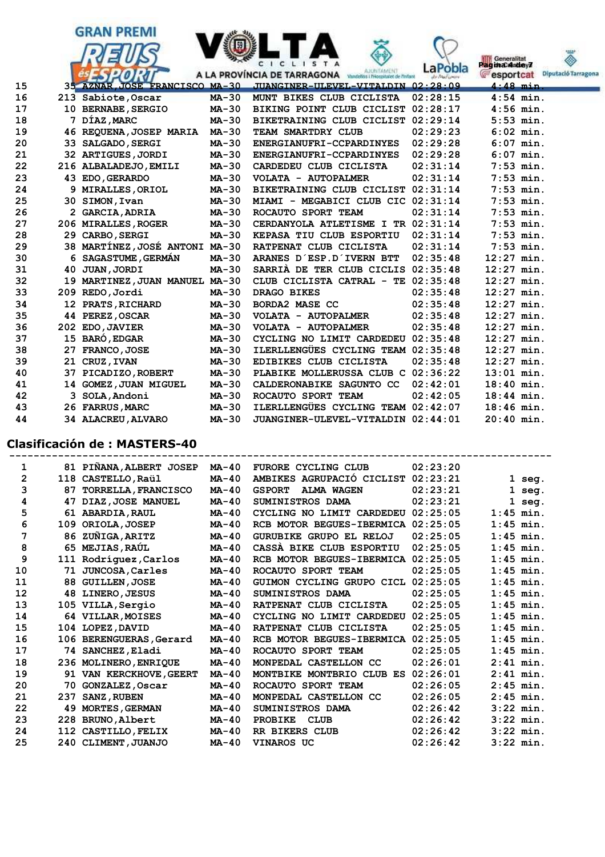

#### **Clasificación de : MASTERS-40**

| 1              |     | 81 PINANA, ALBERT JOSEP    | MA-40        | <b>FURORE CYCLING CLUB</b>         | 02:23:20 |             |             |
|----------------|-----|----------------------------|--------------|------------------------------------|----------|-------------|-------------|
| $\overline{2}$ |     | 118 CASTELLO, Raül         | MA-40        | AMBIKES AGRUPACIÓ CICLIST          | 02:23:21 |             | $1$ seg.    |
| 3              | 87  | <b>TORRELLA, FRANCISCO</b> | $MA-40$      | <b>GSPORT</b><br><b>ALMA WAGEN</b> | 02:23:21 |             | $1$ seg.    |
| 4              | 47  | DIAZ, JOSE MANUEL          | $MA-40$      | SUMINISTROS DAMA                   | 02:23:21 |             | $1$ seg.    |
| 5              |     | 61 ABARDIA, RAUL           | <b>MA-40</b> | CYCLING NO LIMIT CARDEDEU          | 02:25:05 |             | $1:45$ min. |
| 6              | 109 | ORIOLA, JOSEP              | $MA-40$      | RCB MOTOR BEGUES-IBERMICA          | 02:25:05 | $1:45$ min. |             |
| 7              |     | 86 ZUÑIGA, ARITZ           | $MA-40$      | GURUBIKE GRUPO EL RELOJ            | 02:25:05 | $1:45$ min. |             |
| 8              |     | 65 MEJIAS, RAÚL            | $MA-40$      | CASSA BIKE CLUB ESPORTIU           | 02:25:05 | $1:45$ min. |             |
| 9              |     | 111 Rodríguez, Carlos      | $MA-40$      | RCB MOTOR BEGUES-IBERMICA          | 02:25:05 | $1:45$ min. |             |
| 10             |     | 71 JUNCOSA, Carles         | $MA-40$      | ROCAUTO SPORT TEAM                 | 02:25:05 | $1:45$ min. |             |
| 11             |     | 88 GUILLEN, JOSE           | $MA-40$      | GUIMON CYCLING GRUPO CICL          | 02:25:05 | $1:45$ min. |             |
| 12             |     | 48 LINERO, JESUS           | $MA-40$      | SUMINISTROS DAMA                   | 02:25:05 | $1:45$ min. |             |
| 13             |     | 105 VILLA, Sergio          | $MA-40$      | RATPENAT CLUB CICLISTA             | 02:25:05 | $1:45$ min. |             |
| 14             |     | 64 VILLAR, MOISES          | $MA-40$      | CYCLING NO LIMIT CARDEDEU          | 02:25:05 | $1:45$ min. |             |
| 15             |     | 104 LOPEZ, DAVID           | $MA-40$      | RATPENAT CLUB CICLISTA             | 02:25:05 | $1:45$ min. |             |
| 16             |     | 106 BERENGUERAS, Gerard    | $MA-40$      | RCB MOTOR BEGUES-IBERMICA          | 02:25:05 | $1:45$ min. |             |
| 17             |     | 74 SANCHEZ, Eladi          | $MA-40$      | ROCAUTO SPORT TEAM                 | 02:25:05 | $1:45$ min. |             |
| 18             |     | 236 MOLINERO, ENRIQUE      | $MA-40$      | MONPEDAL CASTELLON CC              | 02:26:01 | $2:41$ min. |             |
| 19             |     | 91 VAN KERCKHOVE, GEERT    | $MA-40$      | MONTBIKE MONTBRIO CLUB ES          | 02:26:01 | $2:41$ min. |             |
| 20             |     | 70 GONZALEZ, Oscar         | $MA-40$      | ROCAUTO SPORT TEAM                 | 02:26:05 | $2:45$ min. |             |
| 21             | 237 | <b>SANZ, RUBEN</b>         | $MA-40$      | MONPEDAL CASTELLON CC              | 02:26:05 | $2:45$ min. |             |
| 22             |     | 49 MORTES, GERMAN          | $MA-40$      | SUMINISTROS DAMA                   | 02:26:42 | $3:22$ min. |             |
| 23             |     | 228 BRUNO, Albert          | $MA-40$      | <b>PROBIKE</b><br><b>CLUB</b>      | 02:26:42 | $3:22$ min. |             |
| 24             |     | 112 CASTILLO, FELIX        | $MA-40$      | RR BIKERS CLUB                     | 02:26:42 | $3:22$ min. |             |
| 25             |     | 240 CLIMENT, JUANJO        | $MA-40$      | <b>VINAROS UC</b>                  | 02:26:42 |             | $3:22$ min. |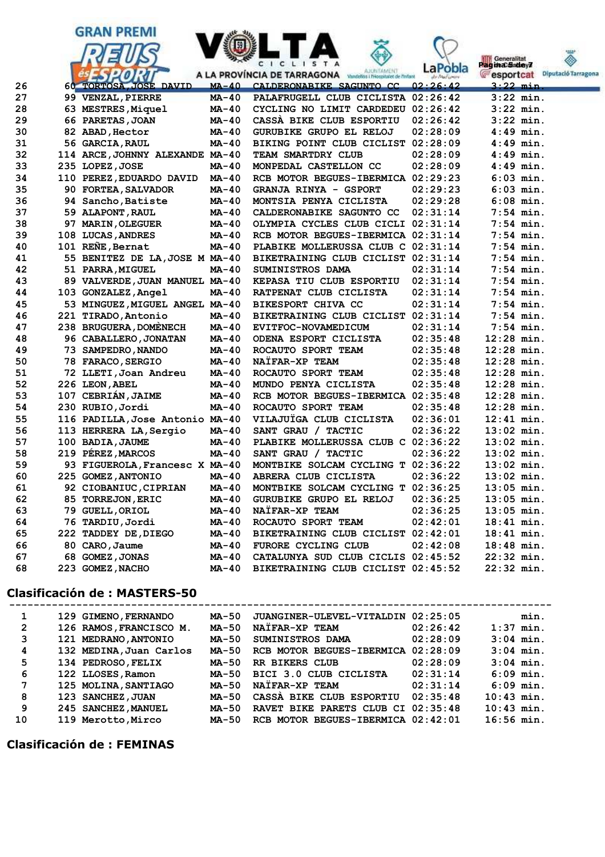





| Generalitat<br>Pagina Sadey7 |                     |
|------------------------------|---------------------|
| <b>C</b> esportcat           | Diputació Tarragona |

| 26 | $-17.01V$<br>60 TORTOSA, JOSE DAVID | $MA-40$      | <b>HARACTER AND AND ALL AND AND AND AND AND AND AND AND ARRANGEMENT OF THE AND ARRANGEMENT OF THE AND ARRANGEMENT OF THE AND ARRANGEMENT OF THE AND ARRANGEMENT OF THE AND ARRANGEMENT OF THE AND ARRANGEMENT OF THE AND ARRANGE</b><br>CALDERONABIKE SAGUNTO CC | <b>REAL LAURATION FOR ASSESSING</b><br>02:26:42 | cohor room<br>$3:22$ min. |
|----|-------------------------------------|--------------|------------------------------------------------------------------------------------------------------------------------------------------------------------------------------------------------------------------------------------------------------------------|-------------------------------------------------|---------------------------|
| 27 | 99 VENZAL, PIERRE                   | $MA-40$      | PALAFRUGELL CLUB CICLISTA 02:26:42                                                                                                                                                                                                                               |                                                 | $3:22$ min.               |
| 28 | 63 MESTRES, Miquel                  | MA-40        | CYCLING NO LIMIT CARDEDEU 02:26:42                                                                                                                                                                                                                               |                                                 | $3:22$ min.               |
| 29 | 66 PARETAS, JOAN                    | MA-40        | CASSA BIKE CLUB ESPORTIU                                                                                                                                                                                                                                         | 02:26:42                                        | $3:22$ min.               |
| 30 | 82 ABAD, Hector                     | MA-40        | GURUBIKE GRUPO EL RELOJ                                                                                                                                                                                                                                          | 02:28:09                                        | $4:49$ min.               |
| 31 | 56 GARCIA, RAUL                     | MA-40        | BIKING POINT CLUB CICLIST 02:28:09                                                                                                                                                                                                                               |                                                 | $4:49$ min.               |
| 32 | 114 ARCE, JOHNNY ALEXANDE MA-40     |              | TEAM SMARTDRY CLUB                                                                                                                                                                                                                                               | 02:28:09                                        | $4:49$ min.               |
| 33 | 235 LOPEZ, JOSE                     | MA-40        | MONPEDAL CASTELLON CC                                                                                                                                                                                                                                            | 02:28:09                                        | $4:49$ min.               |
| 34 | 110 PEREZ, EDUARDO DAVID            | <b>MA-40</b> | RCB MOTOR BEGUES-IBERMICA 02:29:23                                                                                                                                                                                                                               |                                                 | $6:03$ min.               |
| 35 | 90 FORTEA, SALVADOR                 | MA-40        | <b>GRANJA RINYA - GSPORT</b>                                                                                                                                                                                                                                     | 02:29:23                                        | $6:03$ $min.$             |
| 36 | 94 Sancho, Batiste                  | MA-40        | MONTSIA PENYA CICLISTA                                                                                                                                                                                                                                           | 02:29:28                                        | $6:08$ min.               |
| 37 | 59 ALAPONT, RAUL                    | MA-40        | CALDERONABIKE SAGUNTO CC                                                                                                                                                                                                                                         | 02:31:14                                        | $7:54$ min.               |
| 38 | 97 MARIN, OLEGUER                   | MA-40        | OLYMPIA CYCLES CLUB CICLI 02:31:14                                                                                                                                                                                                                               |                                                 | $7:54$ min.               |
| 39 | 108 LUCAS, ANDRES                   | $MA-40$      | RCB MOTOR BEGUES-IBERMICA 02:31:14                                                                                                                                                                                                                               |                                                 | $7:54$ min.               |
| 40 | 101 REÑE, Bernat                    | $MA-40$      | PLABIKE MOLLERUSSA CLUB C 02:31:14                                                                                                                                                                                                                               |                                                 | $7:54$ min.               |
| 41 | 55 BENITEZ DE LA, JOSE M MA-40      |              | BIKETRAINING CLUB CICLIST 02:31:14                                                                                                                                                                                                                               |                                                 | $7:54$ min.               |
| 42 | 51 PARRA, MIGUEL                    | MA-40        | SUMINISTROS DAMA                                                                                                                                                                                                                                                 | 02:31:14                                        | $7:54$ min.               |
| 43 | 89 VALVERDE, JUAN MANUEL MA-40      |              | KEPASA TIU CLUB ESPORTIU                                                                                                                                                                                                                                         | 02:31:14                                        | $7:54$ min.               |
| 44 | 103 GONZALEZ, Angel                 | MA-40        | RATPENAT CLUB CICLISTA                                                                                                                                                                                                                                           | 02:31:14                                        | $7:54$ min.               |
| 45 | 53 MINGUEZ, MIGUEL ANGEL MA-40      |              | BIKESPORT CHIVA CC                                                                                                                                                                                                                                               | 02:31:14                                        | $7:54$ min.               |
| 46 | 221 TIRADO, Antonio                 | MA-40        | <b>BIKETRAINING CLUB CICLIST</b>                                                                                                                                                                                                                                 | 02:31:14                                        | $7:54$ min.               |
| 47 | 238 BRUGUERA, DOMÈNECH              | MA-40        | EVITFOC-NOVAMEDICUM                                                                                                                                                                                                                                              | 02:31:14                                        | $7:54$ min.               |
| 48 | 96 CABALLERO, JONATAN               | MA-40        | ODENA ESPORT CICLISTA                                                                                                                                                                                                                                            | 02:35:48                                        | $12:28$ min.              |
| 49 | 73 SAMPEDRO, NANDO                  | MA-40        | ROCAUTO SPORT TEAM                                                                                                                                                                                                                                               | 02:35:48                                        | $12:28$ min.              |
| 50 | 78 FARACO, SERGIO                   | $MA-40$      | NATFAR-XP TEAM                                                                                                                                                                                                                                                   | 02:35:48                                        | $12:28$ min.              |
| 51 | 72 LLETI, Joan Andreu               | MA-40        | ROCAUTO SPORT TEAM                                                                                                                                                                                                                                               | 02:35:48                                        | $12:28$ min.              |
| 52 | 226 LEON, ABEL                      | MA-40        | MUNDO PENYA CICLISTA                                                                                                                                                                                                                                             | 02:35:48                                        | $12:28$ min.              |
| 53 | 107 CEBRIÁN, JAIME                  | MA-40        | RCB MOTOR BEGUES-IBERMICA 02:35:48                                                                                                                                                                                                                               |                                                 | $12:28$ min.              |
| 54 | 230 RUBIO, Jordi                    | $MA-40$      | ROCAUTO SPORT TEAM                                                                                                                                                                                                                                               | 02:35:48                                        | $12:28$ min.              |
| 55 | 116 PADILLA, Jose Antonio MA-40     |              | VILAJUÏGA CLUB CICLISTA                                                                                                                                                                                                                                          | 02:36:01                                        | $12:41$ min.              |
| 56 | 113 HERRERA LA, Sergio              | $MA-40$      | SANT GRAU / TACTIC                                                                                                                                                                                                                                               | 02:36:22                                        | $13:02$ min.              |
| 57 | 100 BADIA, JAUME                    | MA-40        | PLABIKE MOLLERUSSA CLUB C 02:36:22                                                                                                                                                                                                                               |                                                 | $13:02$ min.              |
| 58 | 219 PÉREZ, MARCOS                   | MA-40        | SANT GRAU / TACTIC                                                                                                                                                                                                                                               | 02:36:22                                        | $13:02$ min.              |
| 59 | 93 FIGUEROLA, Francesc X MA-40      |              | MONTBIKE SOLCAM CYCLING T 02:36:22                                                                                                                                                                                                                               |                                                 | $13:02$ min.              |
| 60 | 225 GOMEZ, ANTONIO                  | MA-40        | ABRERA CLUB CICLISTA                                                                                                                                                                                                                                             | 02:36:22                                        | $13:02$ min.              |
| 61 | 92 CIOBANIUC, CIPRIAN               | <b>MA-40</b> | MONTBIKE SOLCAM CYCLING T 02:36:25                                                                                                                                                                                                                               |                                                 | $13:05$ min.              |
| 62 | 85 TORREJON, ERIC                   | MA-40        | GURUBIKE GRUPO EL RELOJ                                                                                                                                                                                                                                          | 02:36:25                                        | $13:05$ min.              |
| 63 | 79 GUELL, ORIOL                     | MA-40        | NAÏFAR-XP TEAM                                                                                                                                                                                                                                                   | 02:36:25                                        | $13:05$ min.              |
| 64 | 76 TARDIU, Jordi                    | MA-40        | ROCAUTO SPORT TEAM                                                                                                                                                                                                                                               | 02:42:01                                        | $18:41$ min.              |
| 65 | 222 TADDEY DE, DIEGO                | MA-40        | BIKETRAINING CLUB CICLIST 02:42:01                                                                                                                                                                                                                               |                                                 | $18:41$ min.              |
| 66 | 80 CARO, Jaume                      | MA-40        | FURORE CYCLING CLUB                                                                                                                                                                                                                                              | 02:42:08                                        | $18:48$ min.              |
| 67 | 68 GOMEZ, JONAS                     | MA-40        | CATALUNYA SUD CLUB CICLIS 02:45:52                                                                                                                                                                                                                               |                                                 | $22:32$ min.              |
| 68 | 223 GOMEZ, NACHO                    | MA-40        | BIKETRAINING CLUB CICLIST 02:45:52                                                                                                                                                                                                                               |                                                 | $22:32$ min.              |
|    |                                     |              |                                                                                                                                                                                                                                                                  |                                                 |                           |

## **Clasificación de : MASTERS-50**

| 1            | 129 GIMENO, FERNANDO    | MA-50 | JUANGINER-ULEVEL-VITALDIN 02:25:05 |          |              | min. |
|--------------|-------------------------|-------|------------------------------------|----------|--------------|------|
| $\mathbf{2}$ | 126 RAMOS, FRANCISCO M. | MA-50 | NAÏFAR-XP TEAM                     | 02:26:42 | $1:37$ min.  |      |
| 3            | 121 MEDRANO, ANTONIO    | MA-50 | SUMINISTROS DAMA                   | 02:28:09 | $3:04$ min.  |      |
| 4            | 132 MEDINA, Juan Carlos | MA-50 | RCB MOTOR BEGUES-IBERMICA 02:28:09 |          | $3:04$ min.  |      |
| 5            | 134 PEDROSO, FELIX      | MA-50 | RR BIKERS CLUB                     | 02:28:09 | $3:04$ min.  |      |
| 6            | 122 LLOSES, Ramon       | MA-50 | BICI 3.0 CLUB CICLISTA             | 02:31:14 | $6:09$ min.  |      |
| 7            | 125 MOLINA, SANTIAGO    | MA-50 | NAÏFAR-XP TEAM                     | 02:31:14 | $6:09$ min.  |      |
| 8            | 123 SANCHEZ, JUAN       | MA-50 | CASSA BIKE CLUB ESPORTIU           | 02:35:48 | $10:43$ min. |      |
| 9            | 245 SANCHEZ, MANUEL     | MA-50 | RAVET BIKE PARETS CLUB CI 02:35:48 |          | $10:43$ min. |      |
| 10           | 119 Merotto, Mirco      | MA-50 | RCB MOTOR BEGUES-IBERMICA 02:42:01 |          | $16:56$ min. |      |
|              |                         |       |                                    |          |              |      |

### **Clasificación de : FEMINAS**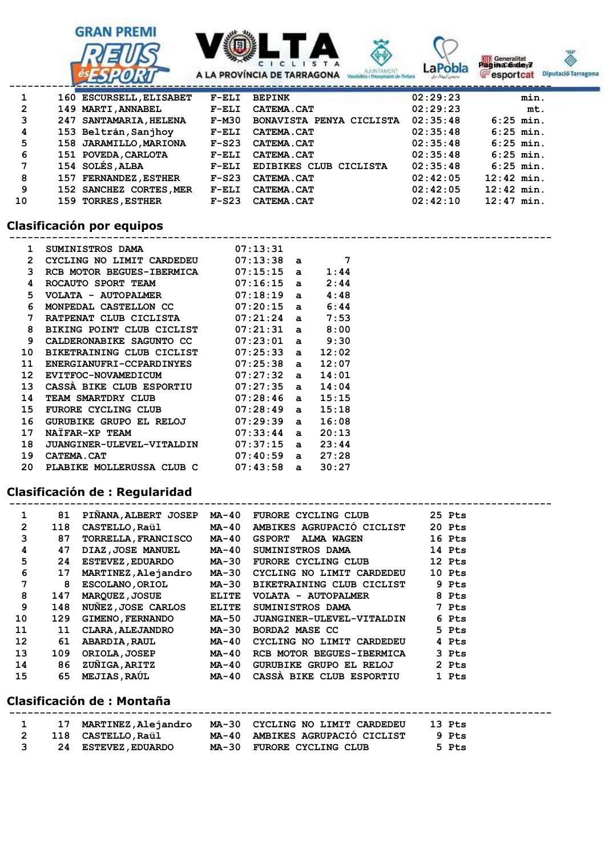





**Pagina 6 degree 7** 

| eralitat       |                  |
|----------------|------------------|
| <b>Sadvey7</b> |                  |
| ortcat         | <b>Diputació</b> |

|    | and the contract of the contract of the contract of the contract of the contract of the contract of the contract of |         |                          |          |              |
|----|---------------------------------------------------------------------------------------------------------------------|---------|--------------------------|----------|--------------|
| 1  | 160 ESCURSELL, ELISABET                                                                                             | $F-ELI$ | <b>BEPINK</b>            | 02:29:23 | min.         |
| 2  | 149 MARTI, ANNABEL                                                                                                  | $F-ELI$ | <b>CATEMA.CAT</b>        | 02:29:23 | mt.          |
| 3  | 247 SANTAMARIA, HELENA                                                                                              | F-M30   | BONAVISTA PENYA CICLISTA | 02:35:48 | $6:25$ min.  |
| 4  | 153 Beltrán, Sanjhoy                                                                                                | $F-ELI$ | <b>CATEMA.CAT</b>        | 02:35:48 | $6:25$ min.  |
| 5  | 158 JARAMILLO, MARIONA                                                                                              | $F-S23$ | <b>CATEMA.CAT</b>        | 02:35:48 | $6:25$ min.  |
| 6  | 151 POVEDA, CARLOTA                                                                                                 | $F-ELI$ | <b>CATEMA.CAT</b>        | 02:35:48 | $6:25$ min.  |
| 7  | 154 SOLÉS, ALBA                                                                                                     | $F-ELI$ | EDIBIKES CLUB CICLISTA   | 02:35:48 | $6:25$ min.  |
| 8  | 157 FERNANDEZ, ESTHER                                                                                               | $F-S23$ | <b>CATEMA.CAT</b>        | 02:42:05 | $12:42$ min. |
| 9  | 152 SANCHEZ CORTES, MER                                                                                             | $F-ELI$ | <b>CATEMA.CAT</b>        | 02:42:05 | $12:42$ min. |
| 10 | 159 TORRES, ESTHER                                                                                                  | $F-S23$ | <b>CATEMA.CAT</b>        | 02:42:10 | $12:47$ min. |

## **Clasificación por equipos**

| 1                | $SUMINISTROS}$ DAMA $07:13:31$         |            |              |       |  |
|------------------|----------------------------------------|------------|--------------|-------|--|
| $\overline{2}$   | CYCLING NO LIMIT CARDEDEU $07:13:38$ a |            |              | 7     |  |
| 3                | RCB MOTOR BEGUES-IBERMICA              | 07:15:15 a |              | 1:44  |  |
| 4                | ROCAUTO SPORT TEAM 07:16:15 a          |            |              | 2:44  |  |
| 5.               | $VOLATA - AUTOPALMER$ 07:18:19 a       |            |              | 4:48  |  |
| 6                | MONPEDAL CASTELLON CC $07:20:15$ a     |            |              | 6:44  |  |
| 7                | RATPENAT CLUB CICLISTA 07:21:24 a      |            |              | 7:53  |  |
| 8                | BIKING POINT CLUB CICLIST              | 07:21:31 a |              | 8:00  |  |
| 9                | CALDERONABIKE SAGUNTO CC               | 07:23:01 a |              | 9:30  |  |
| 10               | BIKETRAINING CLUB CICLIST 07:25:33 a   |            |              | 12:02 |  |
| 11               | ENERGIANUFRI-CCPARDINYES 07:25:38 a    |            |              | 12:07 |  |
| 12 <sup>12</sup> | EVITFOC-NOVAMEDICUM 07:27:32 a         |            |              | 14:01 |  |
| 13               | CASSA BIKE CLUB ESPORTIU 07:27:35 a    |            |              | 14:04 |  |
| 14               | TEAM SMARTDRY CLUB 07:28:46 a          |            |              | 15:15 |  |
| 15               | FURORE CYCLING CLUB 07:28:49 a         |            |              | 15:18 |  |
| 16               | GURUBIKE GRUPO EL RELOJ $07:29:39$ a   |            |              | 16:08 |  |
| 17               | 07:33:44<br>NATFAR-XP TEAM             |            | $\mathbf{a}$ | 20:13 |  |
| 18               | <b>JUANGINER-ULEVEL-VITALDIN</b>       | 07:37:15   | $\mathbf{a}$ | 23:44 |  |
| 19               | <b>CATEMA.CAT</b>                      | 07:40:59 a |              | 27:28 |  |
| 20               | PLABIKE MOLLERUSSA CLUB C 07:43:58 a   |            |              | 30:27 |  |

# **Clasificación de : Regularidad**

| 1              | 81  | PINANA, ALBERT JOSEP       | MA-40        | FURORE CYCLING CLUB              | 25 Pts |
|----------------|-----|----------------------------|--------------|----------------------------------|--------|
| $\overline{2}$ | 118 | <b>CASTELLO, Raül</b>      | MA-40        | AMBIKES AGRUPACIÓ CICLIST        | 20 Pts |
| 3              | 87  | <b>TORRELLA, FRANCISCO</b> | MA-40        | <b>GSPORT</b><br>ALMA WAGEN      | 16 Pts |
| 4              | 47  | DIAZ, JOSE MANUEL          | MA-40        | <b>SUMINISTROS DAMA</b>          | 14 Pts |
| 5              | 24  | <b>ESTEVEZ, EDUARDO</b>    | MA-30        | FURORE CYCLING CLUB              | 12 Pts |
| 6              | 17  | MARTINEZ, Alejandro        | MA-30        | CYCLING NO LIMIT CARDEDEU        | 10 Pts |
| 7              | 8   | <b>ESCOLANO, ORIOL</b>     | MA-30        | BIKETRAINING CLUB CICLIST        | 9 Pts  |
| 8              | 147 | <b>MARQUEZ, JOSUE</b>      | ELITE        | VOLATA - AUTOPALMER              | 8 Pts  |
| 9              | 148 | NUNEZ, JOSE CARLOS         | <b>ELITE</b> | SUMINISTROS DAMA                 | 7 Pts  |
| 10             | 129 | <b>GIMENO, FERNANDO</b>    | MA-50        | <b>JUANGINER-ULEVEL-VITALDIN</b> | 6 Pts  |
| 11             | 11  | <b>CLARA, ALEJANDRO</b>    | MA-30        | BORDA2 MASE CC                   | 5 Pts  |
| 12             | 61  | <b>ABARDIA, RAUL</b>       | MA-40        | CYCLING NO LIMIT CARDEDEU        | 4 Pts  |
| 13             | 109 | <b>ORIOLA, JOSEP</b>       | MA-40        | RCB MOTOR BEGUES-IBERMICA        | 3 Pts  |
| 14             | 86  | ZUÑIGA, ARITZ              | MA-40        | <b>GURUBIKE GRUPO EL RELOJ</b>   | 2 Pts  |
| 15             | 65  | <b>MEJIAS, RAÚL</b>        | MA-40        | CASSA BIKE CLUB ESPORTIU         | 1 Pts  |

 **-----------------------------------------------------------------------------------------**

### **Clasificación de : Montaña**

|  | 17 MARTINEZ, Alejandro     | MA-30 CYCLING NO LIMIT CARDEDEU | 13 Pts |
|--|----------------------------|---------------------------------|--------|
|  | 118 CASTELLO,Raül          | MA-40 AMBIKES AGRUPACIÓ CICLIST | 9 Pts  |
|  | <b>24 ESTEVEZ, EDUARDO</b> | MA-30 FURORE CYCLING CLUB       | 5 Pts  |